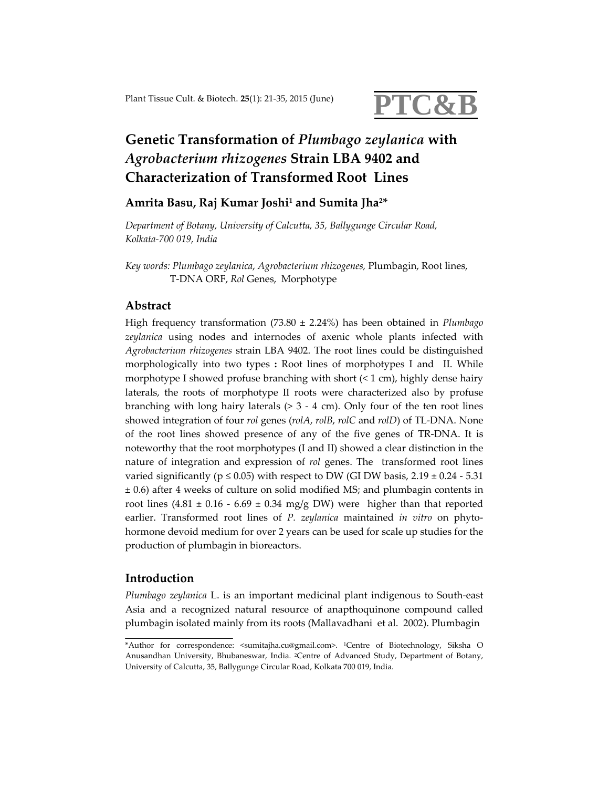

# **Genetic Transformation of** *Plumbago zeylanica* **with** *Agrobacterium rhizogenes* **Strain LBA 9402 and Characterization of Transformed Root Lines**

**Amrita Basu, Raj Kumar Joshi1 and Sumita Jha2\***

*Department of Botany, University of Calcutta, 35, Ballygunge Circular Road, Kolkata‐700 019, India* 

*Key words: Plumbago zeylanica*, *Agrobacterium rhizogenes,* Plumbagin, Root lines, T‐DNA ORF, *Rol* Genes, Morphotype

# **Abstract**

High frequency transformation (73.80 ± 2.24%) has been obtained in *Plumbago zeylanica* using nodes and internodes of axenic whole plants infected with *Agrobacterium rhizogenes* strain LBA 9402. The root lines could be distinguished morphologically into two types **:** Root lines of morphotypes I and II. While morphotype I showed profuse branching with short  $(1 \text{ cm})$ , highly dense hairy laterals, the roots of morphotype II roots were characterized also by profuse branching with long hairy laterals  $(> 3 - 4$  cm). Only four of the ten root lines showed integration of four *rol* genes (*rolA*, *rolB*, *rolC* and *rolD*) of TL‐DNA. None of the root lines showed presence of any of the five genes of TR‐DNA. It is noteworthy that the root morphotypes (I and II) showed a clear distinction in the nature of integration and expression of *rol* genes. The transformed root lines varied significantly ( $p \le 0.05$ ) with respect to DW (GI DW basis, 2.19  $\pm$  0.24 - 5.31 ± 0.6) after 4 weeks of culture on solid modified MS; and plumbagin contents in root lines  $(4.81 \pm 0.16 \cdot 6.69 \pm 0.34 \text{ mg/g DW})$  were higher than that reported earlier. Transformed root lines of *P. zeylanica* maintained *in vitro* on phyto‐ hormone devoid medium for over 2 years can be used for scale up studies for the production of plumbagin in bioreactors.

## **Introduction**

*Plumbago zeylanica* L. is an important medicinal plant indigenous to South‐east Asia and a recognized natural resource of anapthoquinone compound called plumbagin isolated mainly from its roots (Mallavadhani et al. 2002). Plumbagin

<sup>\*</sup>Author for correspondence: <sumitajha.cu@gmail.com>. 1Centre of Biotechnology, Siksha O Anusandhan University, Bhubaneswar, India. 2Centre of Advanced Study, Department of Botany, University of Calcutta, 35, Ballygunge Circular Road, Kolkata 700 019, India.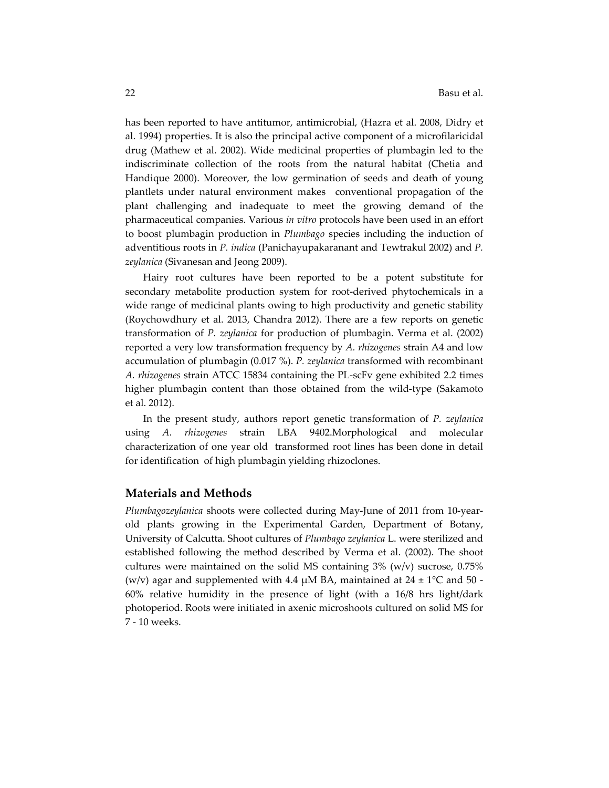has been reported to have antitumor, antimicrobial, (Hazra et al. 2008, Didry et al. 1994) properties. It is also the principal active component of a microfilaricidal drug (Mathew et al. 2002). Wide medicinal properties of plumbagin led to the indiscriminate collection of the roots from the natural habitat (Chetia and Handique 2000). Moreover, the low germination of seeds and death of young plantlets under natural environment makes conventional propagation of the plant challenging and inadequate to meet the growing demand of the pharmaceutical companies. Various *in vitro* protocols have been used in an effort to boost plumbagin production in *Plumbago* species including the induction of adventitious roots in *P. indica* (Panichayupakaranant and Tewtrakul 2002) and *P. zeylanica* (Sivanesan and Jeong 2009).

Hairy root cultures have been reported to be a potent substitute for secondary metabolite production system for root-derived phytochemicals in a wide range of medicinal plants owing to high productivity and genetic stability (Roychowdhury et al. 2013, Chandra 2012). There are a few reports on genetic transformation of *P. zeylanica* for production of plumbagin. Verma et al. (2002) reported a very low transformation frequency by *A. rhizogenes* strain A4 and low accumulation of plumbagin (0.017 %). *P. zeylanica* transformed with recombinant *A. rhizogenes* strain ATCC 15834 containing the PL‐scFv gene exhibited 2.2 times higher plumbagin content than those obtained from the wild‐type (Sakamoto et al. 2012).

In the present study, authors report genetic transformation of *P. zeylanica* using *A. rhizogenes* strain LBA 9402.Morphological and molecular characterization of one year old transformed root lines has been done in detail for identification of high plumbagin yielding rhizoclones.

#### **Materials and Methods**

*Plumbagozeylanica* shoots were collected during May‐June of 2011 from 10‐year‐ old plants growing in the Experimental Garden, Department of Botany, University of Calcutta. Shoot cultures of *Plumbago zeylanica* L. were sterilized and established following the method described by Verma et al. (2002). The shoot cultures were maintained on the solid MS containing  $3\%$  (w/v) sucrose, 0.75% (w/v) agar and supplemented with 4.4  $\mu$ M BA, maintained at 24  $\pm$  1°C and 50 -60% relative humidity in the presence of light (with a 16/8 hrs light/dark photoperiod. Roots were initiated in axenic microshoots cultured on solid MS for 7 ‐ 10 weeks.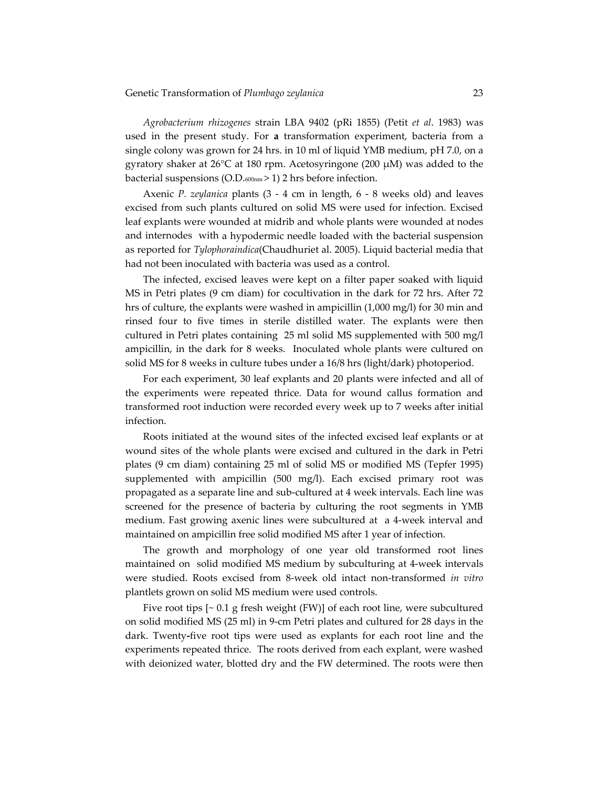*Agrobacterium rhizogenes* strain LBA 9402 (pRi 1855) (Petit *et al*. 1983) was used in the present study. For **a** transformation experiment, bacteria from a single colony was grown for 24 hrs. in 10 ml of liquid YMB medium, pH 7.0, on a gyratory shaker at 26°C at 180 rpm. Acetosyringone (200 μM) was added to the bacterial suspensions (O.D.600nm > 1) 2 hrs before infection.

Axenic *P. zeylanica* plants (3 ‐ 4 cm in length, 6 ‐ 8 weeks old) and leaves excised from such plants cultured on solid MS were used for infection. Excised leaf explants were wounded at midrib and whole plants were wounded at nodes and internodes with a hypodermic needle loaded with the bacterial suspension as reported for *Tylophoraindica*(Chaudhuriet al. 2005). Liquid bacterial media that had not been inoculated with bacteria was used as a control.

The infected, excised leaves were kept on a filter paper soaked with liquid MS in Petri plates (9 cm diam) for cocultivation in the dark for 72 hrs. After 72 hrs of culture, the explants were washed in ampicillin (1,000 mg/l) for 30 min and rinsed four to five times in sterile distilled water. The explants were then cultured in Petri plates containing 25 ml solid MS supplemented with 500 mg/l ampicillin, in the dark for 8 weeks. Inoculated whole plants were cultured on solid MS for 8 weeks in culture tubes under a 16/8 hrs (light/dark) photoperiod.

For each experiment, 30 leaf explants and 20 plants were infected and all of the experiments were repeated thrice. Data for wound callus formation and transformed root induction were recorded every week up to 7 weeks after initial infection.

Roots initiated at the wound sites of the infected excised leaf explants or at wound sites of the whole plants were excised and cultured in the dark in Petri plates (9 cm diam) containing 25 ml of solid MS or modified MS (Tepfer 1995) supplemented with ampicillin (500 mg/l). Each excised primary root was propagated as a separate line and sub‐cultured at 4 week intervals. Each line was screened for the presence of bacteria by culturing the root segments in YMB medium. Fast growing axenic lines were subcultured at a 4‐week interval and maintained on ampicillin free solid modified MS after 1 year of infection.

The growth and morphology of one year old transformed root lines maintained on solid modified MS medium by subculturing at 4‐week intervals were studied. Roots excised from 8‐week old intact non‐transformed *in vitro* plantlets grown on solid MS medium were used controls.

Five root tips [~ 0.1 g fresh weight (FW)] of each root line, were subcultured on solid modified MS (25 ml) in 9‐cm Petri plates and cultured for 28 days in the dark. Twenty**‐**five root tips were used as explants for each root line and the experiments repeated thrice. The roots derived from each explant, were washed with deionized water, blotted dry and the FW determined. The roots were then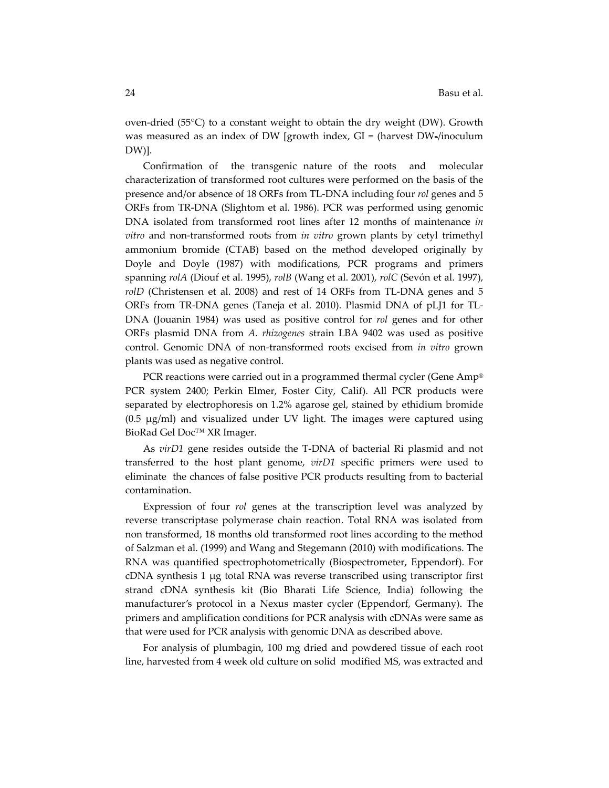oven‐dried (55°C) to a constant weight to obtain the dry weight (DW). Growth was measured as an index of DW [growth index, GI = (harvest DW**‐**/inoculum DW)].

Confirmation of the transgenic nature of the roots and molecular characterization of transformed root cultures were performed on the basis of the presence and/or absence of 18 ORFs from TL‐DNA including four *rol* genes and 5 ORFs from TR‐DNA (Slightom et al. 1986). PCR was performed using genomic DNA isolated from transformed root lines after 12 months of maintenance *in vitro* and non‐transformed roots from *in vitro* grown plants by cetyl trimethyl ammonium bromide (CTAB) based on the method developed originally by Doyle and Doyle (1987) with modifications, PCR programs and primers spanning *rolA* (Diouf et al. 1995), *rolB* (Wang et al. 2001), *rolC* (Sevón et al. 1997), *rolD* (Christensen et al. 2008) and rest of 14 ORFs from TL-DNA genes and 5 ORFs from TR‐DNA genes (Taneja et al. 2010). Plasmid DNA of pLJ1 for TL‐ DNA (Jouanin 1984) was used as positive control for *rol* genes and for other ORFs plasmid DNA from *A. rhizogenes* strain LBA 9402 was used as positive control. Genomic DNA of non‐transformed roots excised from *in vitro* grown plants was used as negative control.

PCR reactions were carried out in a programmed thermal cycler (Gene Amp® PCR system 2400; Perkin Elmer, Foster City, Calif). All PCR products were separated by electrophoresis on 1.2% agarose gel, stained by ethidium bromide (0.5 μg/ml) and visualized under UV light. The images were captured using BioRad Gel Doc™ XR Imager.

As *virD1* gene resides outside the T‐DNA of bacterial Ri plasmid and not transferred to the host plant genome, *virD1* specific primers were used to eliminate the chances of false positive PCR products resulting from to bacterial contamination.

Expression of four *rol* genes at the transcription level was analyzed by reverse transcriptase polymerase chain reaction. Total RNA was isolated from non transformed, 18 month**s** old transformed root lines according to the method of Salzman et al. (1999) and Wang and Stegemann (2010) with modifications. The RNA was quantified spectrophotometrically (Biospectrometer, Eppendorf). For cDNA synthesis 1 μg total RNA was reverse transcribed using transcriptor first strand cDNA synthesis kit (Bio Bharati Life Science, India) following the manufacturer's protocol in a Nexus master cycler (Eppendorf, Germany). The primers and amplification conditions for PCR analysis with cDNAs were same as that were used for PCR analysis with genomic DNA as described above.

For analysis of plumbagin, 100 mg dried and powdered tissue of each root line, harvested from 4 week old culture on solid modified MS, was extracted and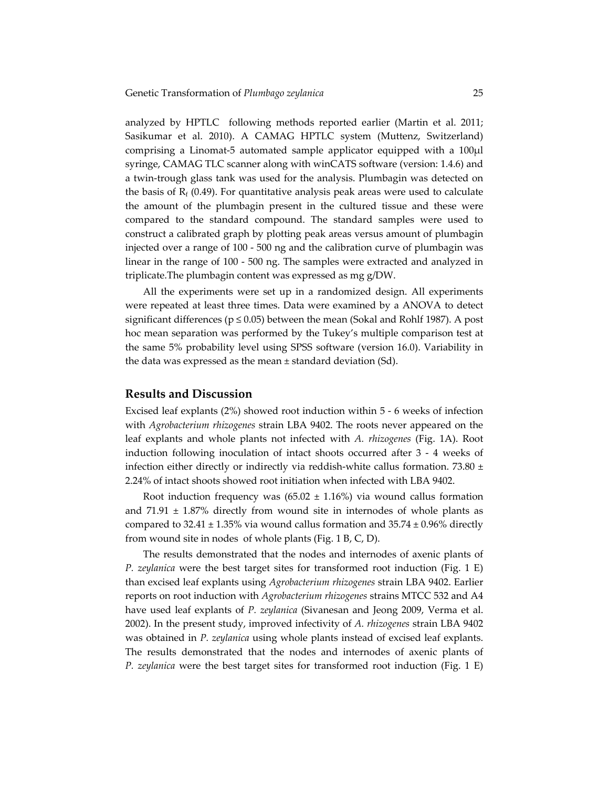analyzed by HPTLC following methods reported earlier (Martin et al. 2011; Sasikumar et al. 2010). A CAMAG HPTLC system (Muttenz, Switzerland) comprising a Linomat‐5 automated sample applicator equipped with a 100μl syringe, CAMAG TLC scanner along with winCATS software (version: 1.4.6) and a twin‐trough glass tank was used for the analysis. Plumbagin was detected on the basis of  $R_f$  (0.49). For quantitative analysis peak areas were used to calculate the amount of the plumbagin present in the cultured tissue and these were compared to the standard compound. The standard samples were used to construct a calibrated graph by plotting peak areas versus amount of plumbagin injected over a range of 100 ‐ 500 ng and the calibration curve of plumbagin was linear in the range of 100 ‐ 500 ng. The samples were extracted and analyzed in triplicate.The plumbagin content was expressed as mg g/DW.

All the experiments were set up in a randomized design. All experiments were repeated at least three times. Data were examined by a ANOVA to detect significant differences ( $p \le 0.05$ ) between the mean (Sokal and Rohlf 1987). A post hoc mean separation was performed by the Tukey's multiple comparison test at the same 5% probability level using SPSS software (version 16.0). Variability in the data was expressed as the mean  $\pm$  standard deviation (Sd).

# **Results and Discussion**

Excised leaf explants (2%) showed root induction within 5 ‐ 6 weeks of infection with *Agrobacterium rhizogenes* strain LBA 9402. The roots never appeared on the leaf explants and whole plants not infected with *A. rhizogenes* (Fig. 1A). Root induction following inoculation of intact shoots occurred after 3 ‐ 4 weeks of infection either directly or indirectly via reddish-white callus formation. 73.80  $\pm$ 2.24% of intact shoots showed root initiation when infected with LBA 9402.

Root induction frequency was  $(65.02 \pm 1.16\%)$  via wound callus formation and  $71.91 \pm 1.87\%$  directly from wound site in internodes of whole plants as compared to 32.41  $\pm$  1.35% via wound callus formation and 35.74  $\pm$  0.96% directly from wound site in nodes of whole plants (Fig. 1 B, C, D).

The results demonstrated that the nodes and internodes of axenic plants of *P. zeylanica* were the best target sites for transformed root induction (Fig. 1 E) than excised leaf explants using *Agrobacterium rhizogenes* strain LBA 9402. Earlier reports on root induction with *Agrobacterium rhizogenes* strains MTCC 532 and A4 have used leaf explants of *P. zeylanica* (Sivanesan and Jeong 2009, Verma et al. 2002). In the present study, improved infectivity of *A. rhizogenes* strain LBA 9402 was obtained in *P. zeylanica* using whole plants instead of excised leaf explants. The results demonstrated that the nodes and internodes of axenic plants of *P. zeylanica* were the best target sites for transformed root induction (Fig. 1 E)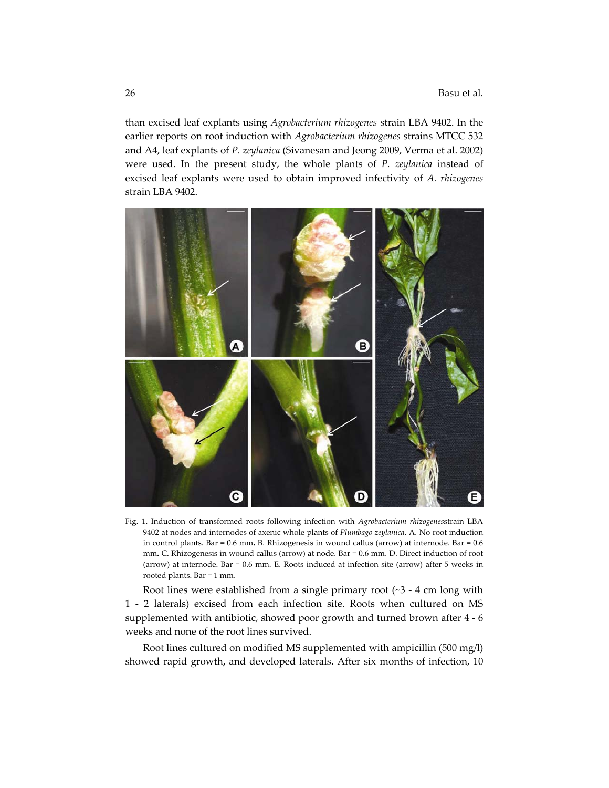than excised leaf explants using *Agrobacterium rhizogenes* strain LBA 9402. In the earlier reports on root induction with *Agrobacterium rhizogenes* strains MTCC 532 and A4, leaf explants of *P. zeylanica* (Sivanesan and Jeong 2009, Verma et al. 2002) were used. In the present study, the whole plants of *P. zeylanica* instead of excised leaf explants were used to obtain improved infectivity of *A. rhizogenes* strain LBA 9402.



Fig. 1. Induction of transformed roots following infection with *Agrobacterium rhizogenes*strain LBA 9402 at nodes and internodes of axenic whole plants of *Plumbago zeylanica*. A. No root induction in control plants. Bar = 0.6 mm**.** B. Rhizogenesis in wound callus (arrow) at internode. Bar = 0.6 mm**.** C. Rhizogenesis in wound callus (arrow) at node. Bar = 0.6 mm. D. Direct induction of root (arrow) at internode. Bar = 0.6 mm. E. Roots induced at infection site (arrow) after 5 weeks in rooted plants. Bar = 1 mm.

Root lines were established from a single primary root  $(\sim]3 - 4$  cm long with 1 - 2 laterals) excised from each infection site. Roots when cultured on MS supplemented with antibiotic, showed poor growth and turned brown after 4 ‐ 6 weeks and none of the root lines survived.

Root lines cultured on modified MS supplemented with ampicillin (500 mg/l) showed rapid growth**,** and developed laterals. After six months of infection, 10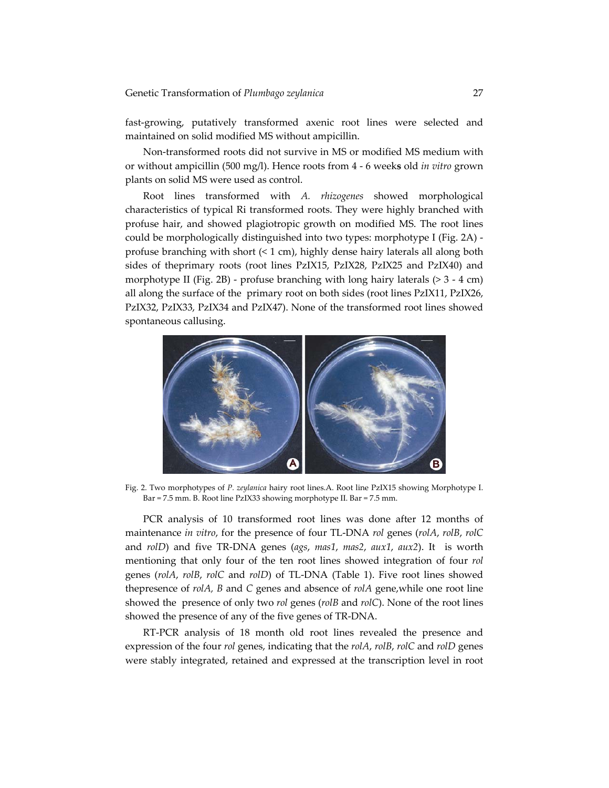fast‐growing, putatively transformed axenic root lines were selected and maintained on solid modified MS without ampicillin.

Non‐transformed roots did not survive in MS or modified MS medium with or without ampicillin (500 mg/l). Hence roots from 4 ‐ 6 week**s** old *in vitro* grown plants on solid MS were used as control.

Root lines transformed with *A. rhizogenes* showed morphological characteristics of typical Ri transformed roots. They were highly branched with profuse hair, and showed plagiotropic growth on modified MS. The root lines could be morphologically distinguished into two types: morphotype I (Fig. 2A) ‐ profuse branching with short (< 1 cm), highly dense hairy laterals all along both sides of theprimary roots (root lines PzIX15, PzIX28, PzIX25 and PzIX40) and morphotype II (Fig. 2B) - profuse branching with long hairy laterals  $(> 3 - 4$  cm) all along the surface of the primary root on both sides (root lines PzIX11, PzIX26, PzIX32, PzIX33, PzIX34 and PzIX47). None of the transformed root lines showed spontaneous callusing.



Fig. 2. Two morphotypes of *P. zeylanica* hairy root lines.A. Root line PzIX15 showing Morphotype I. Bar = 7.5 mm. B. Root line PzIX33 showing morphotype II. Bar = 7.5 mm.

PCR analysis of 10 transformed root lines was done after 12 months of maintenance *in vitro*, for the presence of four TL‐DNA *rol* genes (*rolA*, *rolB*, *rolC* and *rolD*) and five TR‐DNA genes (*ags*, *mas1*, *mas2*, *aux1*, *aux2*). It is worth mentioning that only four of the ten root lines showed integration of four *rol* genes (*rolA*, *rolB*, *rolC* and *rolD*) of TL‐DNA (Table 1). Five root lines showed thepresence of *rolA, B* and *C* genes and absence of *rolA* gene,while one root line showed the presence of only two *rol* genes (*rolB* and *rolC*). None of the root lines showed the presence of any of the five genes of TR‐DNA.

RT‐PCR analysis of 18 month old root lines revealed the presence and expression of the four *rol* genes, indicating that the *rolA*, *rolB*, *rolC* and *rolD* genes were stably integrated, retained and expressed at the transcription level in root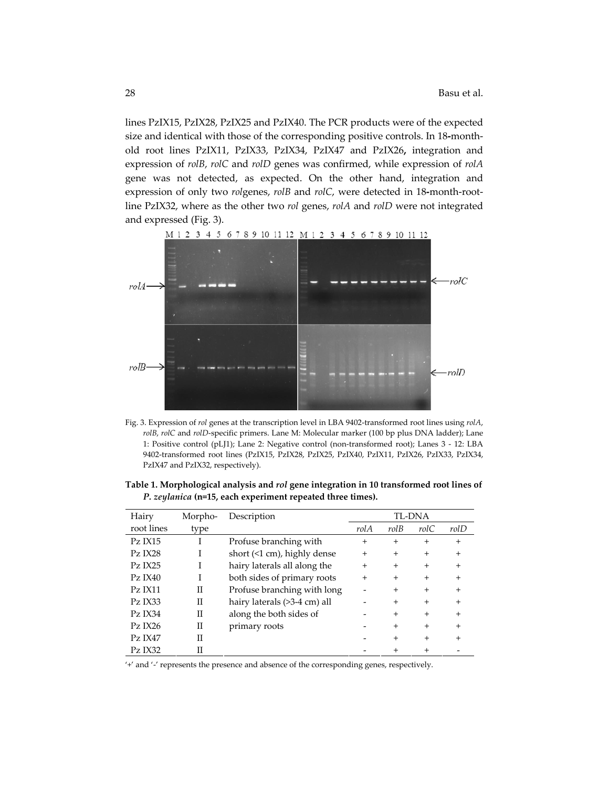lines PzIX15, PzIX28, PzIX25 and PzIX40. The PCR products were of the expected size and identical with those of the corresponding positive controls. In 18**‐**month‐ old root lines PzIX11, PzIX33, PzIX34, PzIX47 and PzIX26**,** integration and expression of *rolB*, *rolC* and *rolD* genes was confirmed, while expression of *rolA* gene was not detected, as expected. On the other hand, integration and expression of only two *rol*genes, *rolB* and *rolC*, were detected in 18**‐**month‐root‐ line PzIX32, where as the other two *rol* genes, *rolA* and *rolD* were not integrated and expressed (Fig. 3).



Fig. 3. Expression of *rol* genes at the transcription level in LBA 9402‐transformed root lines using *rolA*, *rolB*, *rolC* and *rolD*‐specific primers. Lane M: Molecular marker (100 bp plus DNA ladder); Lane 1: Positive control (pLJ1); Lane 2: Negative control (non‐transformed root); Lanes 3 ‐ 12: LBA 9402‐transformed root lines (PzIX15, PzIX28, PzIX25, PzIX40, PzIX11, PzIX26, PzIX33, PzIX34, PzIX47 and PzIX32, respectively).

| Table 1. Morphological analysis and rol gene integration in 10 transformed root lines of |                                                                   |  |
|------------------------------------------------------------------------------------------|-------------------------------------------------------------------|--|
|                                                                                          | <i>P. zeylanica</i> (n=15, each experiment repeated three times). |  |

| Hairy      | Morpho- | Description                  |        |        | TL-DNA |              |
|------------|---------|------------------------------|--------|--------|--------|--------------|
| root lines | type    |                              | rolA   | rolB   | rolC   | rolD         |
| $PZ$ IX15  |         | Profuse branching with       | $^{+}$ | $^{+}$ | $^{+}$ | $^{+}$       |
| PZIX28     |         | short (<1 cm), highly dense  | $^{+}$ | $^{+}$ | $^{+}$ | $\mathrm{+}$ |
| PZIX25     |         | hairy laterals all along the | $^{+}$ | $^{+}$ | $^{+}$ | $\mathrm{+}$ |
| $PZ$ IX40  |         | both sides of primary roots  | $^{+}$ | $^{+}$ | $^{+}$ | $\mathrm{+}$ |
| $PZ$ IX11  | П       | Profuse branching with long  |        | $^{+}$ | $^{+}$ | $\mathrm{+}$ |
| PZIX33     | П       | hairy laterals (>3-4 cm) all |        | $^{+}$ | $^{+}$ | $\mathrm{+}$ |
| Pz IX34    | П       | along the both sides of      |        | $^{+}$ | $^{+}$ | $\mathrm{+}$ |
| $PZ$ IX26  | П       | primary roots                |        | $^{+}$ | $^{+}$ | $^{+}$       |
| $PZ$ IX47  | Π       |                              |        | $^{+}$ | $^{+}$ |              |
| PZ IX32    | Н       |                              |        |        | $^{+}$ |              |

'+' and '‐' represents the presence and absence of the corresponding genes, respectively.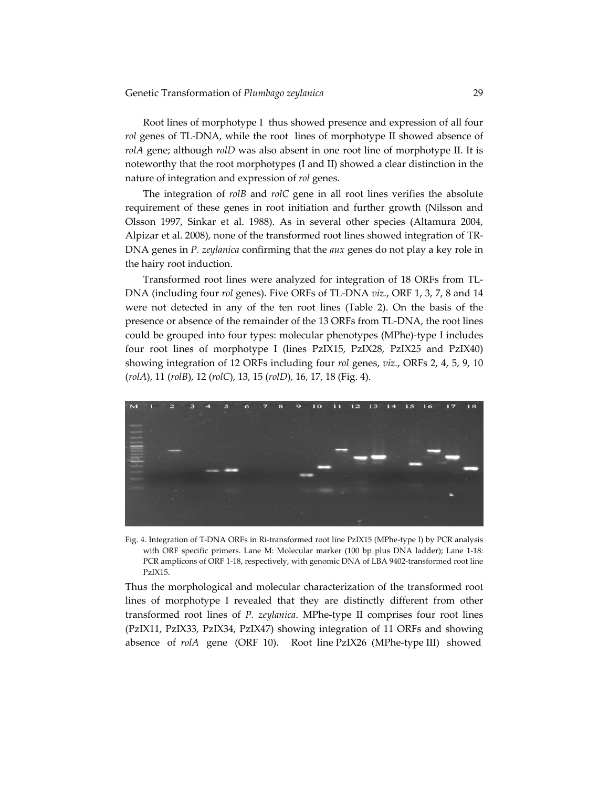Root lines of morphotype I thus showed presence and expression of all four *rol* genes of TL-DNA, while the root lines of morphotype II showed absence of *rolA* gene; although *rolD* was also absent in one root line of morphotype II. It is noteworthy that the root morphotypes (I and II) showed a clear distinction in the nature of integration and expression of *rol* genes.

The integration of *rolB* and *rolC* gene in all root lines verifies the absolute requirement of these genes in root initiation and further growth (Nilsson and Olsson 1997, Sinkar et al. 1988). As in several other species (Altamura 2004, Alpizar et al. 2008), none of the transformed root lines showed integration of TR‐ DNA genes in *P. zeylanica* confirming that the *aux* genes do not play a key role in the hairy root induction.

Transformed root lines were analyzed for integration of 18 ORFs from TL‐ DNA (including four *rol* genes). Five ORFs of TL‐DNA *viz.*, ORF 1, 3, 7, 8 and 14 were not detected in any of the ten root lines (Table 2). On the basis of the presence or absence of the remainder of the 13 ORFs from TL‐DNA, the root lines could be grouped into four types: molecular phenotypes (MPhe)‐type I includes four root lines of morphotype I (lines PzIX15, PzIX28, PzIX25 and PzIX40) showing integration of 12 ORFs including four *rol* genes, *viz.*, ORFs 2, 4, 5, 9, 10 (*rolA*), 11 (*rolB*), 12 (*rolC*), 13, 15 (*rolD*), 16, 17, 18 (Fig. 4).



Fig. 4. Integration of T‐DNA ORFs in Ri‐transformed root line PzIX15 (MPhe‐type I) by PCR analysis with ORF specific primers. Lane M: Molecular marker (100 bp plus DNA ladder); Lane 1-18: PCR amplicons of ORF 1-18, respectively, with genomic DNA of LBA 9402-transformed root line PzIX15.

Thus the morphological and molecular characterization of the transformed root lines of morphotype I revealed that they are distinctly different from other transformed root lines of *P. zeylanica*. MPhe‐type II comprises four root lines (PzIX11, PzIX33, PzIX34, PzIX47) showing integration of 11 ORFs and showing absence of *rolA* gene (ORF 10). Root line PzIX26 (MPhe-type III) showed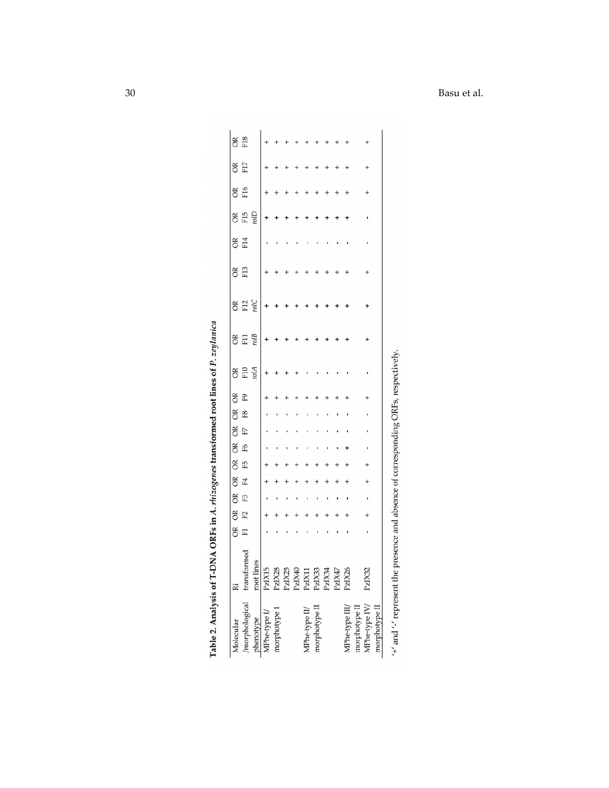| Molecular                                                                          |                                                              | õ | ÕΚ | õŘ | OK | OR | $\approx$ | ÕŘ | ÕΚ | õ  | õ               | OK              | õ    | õ               | õ   | õ               | õ               | ΘŘ  | OR<br>F18 |
|------------------------------------------------------------------------------------|--------------------------------------------------------------|---|----|----|----|----|-----------|----|----|----|-----------------|-----------------|------|-----------------|-----|-----------------|-----------------|-----|-----------|
| /morphological transformed                                                         |                                                              | H | F2 | F3 | F4 | E5 | F6        | F7 | F8 | F9 | F <sub>10</sub> | FI <sub>1</sub> | F12  | F <sub>13</sub> | F14 | F <sub>15</sub> | F <sub>16</sub> | F17 |           |
| phenotype                                                                          | root lines                                                   |   |    |    |    |    |           |    |    |    | rolA            | rolB            | rolC |                 |     | rolD            |                 |     |           |
| MPhe-type I/                                                                       | ⊵<br>PzIX1                                                   |   |    |    |    |    |           |    |    |    |                 |                 |      |                 |     |                 |                 |     |           |
| morphotype 1                                                                       | $\begin{array}{c} \text{PzIX28}\\ \text{PzIX25} \end{array}$ |   |    |    |    |    |           |    |    |    |                 |                 |      |                 |     |                 |                 |     |           |
|                                                                                    |                                                              |   |    |    |    |    |           |    |    |    |                 |                 |      |                 |     |                 |                 |     |           |
|                                                                                    | PzIX40                                                       |   |    |    |    |    |           |    |    |    |                 |                 |      |                 |     |                 |                 |     |           |
| MPhe-type II/                                                                      | PzIX11                                                       |   |    |    |    |    |           |    |    |    |                 |                 |      |                 |     |                 |                 |     |           |
| morphotype II                                                                      | PzIX33                                                       |   |    |    |    |    |           |    |    |    |                 |                 |      |                 |     |                 |                 |     |           |
|                                                                                    | PzIX34                                                       |   |    |    |    |    |           |    |    |    |                 |                 |      |                 |     |                 |                 |     |           |
|                                                                                    | PzIX47                                                       |   |    |    |    |    |           |    |    |    |                 |                 |      |                 |     |                 |                 |     |           |
| MPhe-type III/                                                                     | PzIX26                                                       |   |    |    |    |    |           |    |    |    |                 |                 |      |                 |     |                 |                 |     |           |
| MPhe-type IV/ PzIX32<br>morphotype II                                              |                                                              |   |    |    |    |    |           |    |    |    |                 |                 |      |                 |     |                 |                 |     |           |
| morphotype II                                                                      |                                                              |   |    |    |    |    |           |    |    |    |                 |                 |      |                 |     |                 |                 |     |           |
| '+' and '-' represent the presence and absence of corresponding ORFs, respectively |                                                              |   |    |    |    |    |           |    |    |    |                 |                 |      |                 |     |                 |                 |     |           |

Basu et al.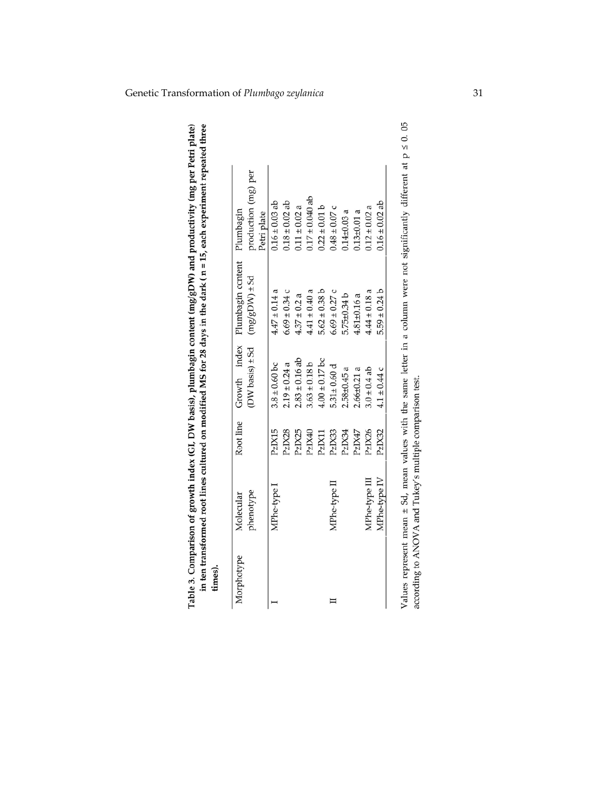| Morphotype | Molecular     |        |                     | Root line Growth index Plumbagin content Plumbagin |                     |
|------------|---------------|--------|---------------------|----------------------------------------------------|---------------------|
|            | phenotype     |        | $(DW basis) \pm Sd$ | $\log_{2}$ (M $\log_{2}$ m)                        | production (mg) per |
|            |               |        |                     |                                                    | Petri plate         |
|            | MPhe-type!    | PzIX15 | $3.8 \pm 0.60$ bc   | $4.47 \pm 0.14$ a                                  | $0.16 \pm 0.03$ ab  |
|            |               | PzIX28 | $2.19 \pm 0.24$ a   | $6.69 \pm 0.34$ c                                  | $0.18 \pm 0.02$ ab  |
|            |               | PzIX25 | $2.83 \pm 0.16$ ab  | $4.37 \pm 0.2$ a                                   | $0.11 \pm 0.02$ a   |
|            |               | PzIX40 | $3.63 \pm 0.18$ b   | $4.41 \pm 0.40$ a                                  | $0.17 \pm 0.040$ ab |
|            |               | PzIX11 | $4.00 \pm 0.17$ bc  | $5.62 \pm 0.38$ b                                  | $0.22 \pm 0.01$ b   |
|            | MPhe-type II  | PzIX33 | $5.31 \pm 0.60$ d   | $6.69 \pm 0.27$ c                                  | $0.48 \pm 0.07$ c   |
|            |               | PzIX34 | $2.58 + 0.45$ a     | $5.75 \pm 0.34 b$                                  | $0.14 + 0.03$ a     |
|            |               | PzIX47 | $2.66 \pm 0.21$ a   | $4.81 \pm 0.16$ a                                  | $0.13 + 0.01$ a     |
|            | MPhe-type III | PzIX26 | $3.0 \pm 0.4$ ab    | $4.44 \pm 0.18$ a                                  | $0.12 \pm 0.02$ a   |
|            | MPhe-type IV  | PzIX32 | $4.1 \pm 0.44$ c    | $5.59 \pm 0.24 b$                                  | $0.16 \pm 0.02$ ab  |

Values represent mean  $\pm$  Sd, mean values with the same letter in a column were not significantly different at  $p \le 0$ . 05 according to ANOVA and Tukey's multiple comparison test.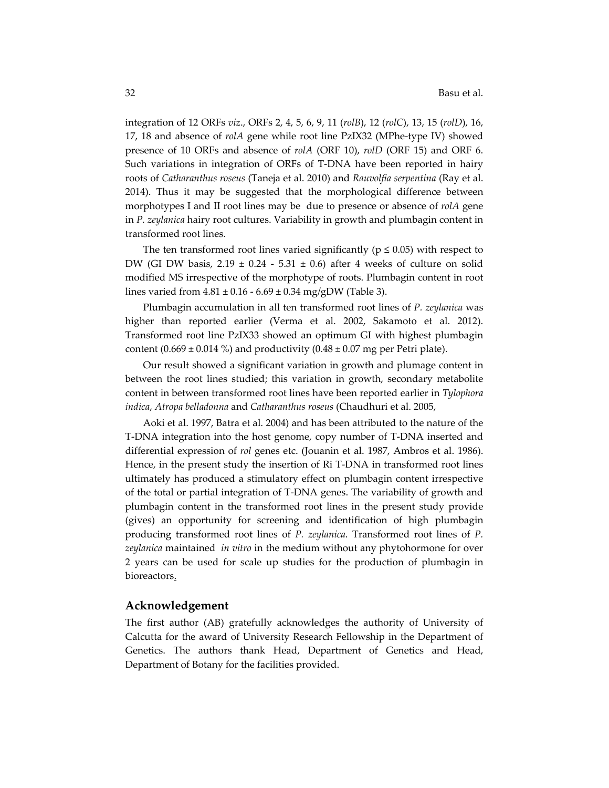integration of 12 ORFs *viz*., ORFs 2, 4, 5, 6, 9, 11 (*rolB*), 12 (*rolC*), 13, 15 (*rolD*), 16, 17, 18 and absence of *rolA* gene while root line PzIX32 (MPhe‐type IV) showed presence of 10 ORFs and absence of *rolA* (ORF 10), *rolD* (ORF 15) and ORF 6. Such variations in integration of ORFs of T‐DNA have been reported in hairy roots of *Catharanthus roseus* (Taneja et al. 2010) and *Rauvolfia serpentina* (Ray et al. 2014). Thus it may be suggested that the morphological difference between morphotypes I and II root lines may be due to presence or absence of *rolA* gene in *P. zeylanica* hairy root cultures. Variability in growth and plumbagin content in transformed root lines.

The ten transformed root lines varied significantly ( $p \le 0.05$ ) with respect to DW (GI DW basis,  $2.19 \pm 0.24 - 5.31 \pm 0.6$ ) after 4 weeks of culture on solid modified MS irrespective of the morphotype of roots. Plumbagin content in root lines varied from  $4.81 \pm 0.16 - 6.69 \pm 0.34$  mg/gDW (Table 3).

Plumbagin accumulation in all ten transformed root lines of *P. zeylanica* was higher than reported earlier (Verma et al. 2002, Sakamoto et al. 2012). Transformed root line PzIX33 showed an optimum GI with highest plumbagin content (0.669  $\pm$  0.014 %) and productivity (0.48  $\pm$  0.07 mg per Petri plate).

Our result showed a significant variation in growth and plumage content in between the root lines studied; this variation in growth, secondary metabolite content in between transformed root lines have been reported earlier in *Tylophora indica*, *Atropa belladonna* and *Catharanthus roseus* (Chaudhuri et al. 2005,

Aoki et al. 1997, Batra et al. 2004) and has been attributed to the nature of the T-DNA integration into the host genome, copy number of T-DNA inserted and differential expression of *rol* genes etc. (Jouanin et al. 1987, Ambros et al. 1986). Hence, in the present study the insertion of Ri T-DNA in transformed root lines ultimately has produced a stimulatory effect on plumbagin content irrespective of the total or partial integration of T‐DNA genes. The variability of growth and plumbagin content in the transformed root lines in the present study provide (gives) an opportunity for screening and identification of high plumbagin producing transformed root lines of *P. zeylanica*. Transformed root lines of *P. zeylanica* maintained *in vitro* in the medium without any phytohormone for over 2 years can be used for scale up studies for the production of plumbagin in bioreactors.

#### **Acknowledgement**

The first author (AB) gratefully acknowledges the authority of University of Calcutta for the award of University Research Fellowship in the Department of Genetics. The authors thank Head, Department of Genetics and Head, Department of Botany for the facilities provided.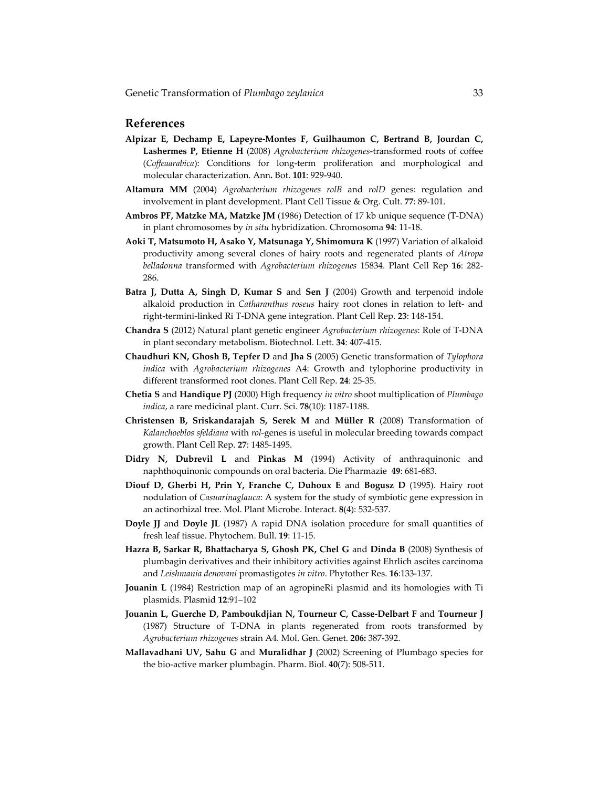### **References**

- **Alpizar E, Dechamp E, Lapeyre‐Montes F, Guilhaumon C, Bertrand B, Jourdan C, Lashermes P, Etienne H** (2008) *Agrobacterium rhizogenes*‐transformed roots of coffee (*Coffeaarabica*): Conditions for long‐term proliferation and morphological and molecular characterization. Ann**.** Bot. **101**: 929‐940.
- **Altamura MM** (2004) *Agrobacterium rhizogenes rolB* and *rolD* genes: regulation and involvement in plant development. Plant Cell Tissue & Org. Cult. **77**: 89‐101.
- **Ambros PF, Matzke MA, Matzke JM** (1986) Detection of 17 kb unique sequence (T‐DNA) in plant chromosomes by *in situ* hybridization. Chromosoma **94**: 11‐18.
- **Aoki T, Matsumoto H, Asako Y, Matsunaga Y, Shimomura K** (1997) Variation of alkaloid productivity among several clones of hairy roots and regenerated plants of *Atropa belladonna* transformed with *Agrobacterium rhizogenes* 15834. Plant Cell Rep **16**: 282‐ 286.
- **Batra J, Dutta A, Singh D, Kumar S** and **Sen J** (2004) Growth and terpenoid indole alkaloid production in *Catharanthus roseus* hairy root clones in relation to left‐ and right‐termini‐linked Ri T‐DNA gene integration. Plant Cell Rep. **23**: 148‐154.
- **Chandra S** (2012) Natural plant genetic engineer *Agrobacterium rhizogenes*: Role of T‐DNA in plant secondary metabolism. Biotechnol. Lett. **34**: 407‐415.
- **Chaudhuri KN, Ghosh B, Tepfer D** and **Jha S** (2005) Genetic transformation of *Tylophora indica* with *Agrobacterium rhizogenes* A4: Growth and tylophorine productivity in different transformed root clones. Plant Cell Rep. **24**: 25‐35.
- **Chetia S** and **Handique PJ** (2000) High frequency *in vitro* shoot multiplication of *Plumbago indica*, a rare medicinal plant. Curr. Sci. **78**(10): 1187‐1188.
- **Christensen B, Sriskandarajah S, Serek M** and **Müller R** (2008) Transformation of *Kalanchoeblos sfeldiana* with *rol*‐genes is useful in molecular breeding towards compact growth. Plant Cell Rep. **27**: 1485‐1495.
- **Didry N, Dubrevil L** and **Pinkas M** (1994) Activity of anthraquinonic and naphthoquinonic compounds on oral bacteria. Die Pharmazie **49**: 681‐683.
- **Diouf D, Gherbi H, Prin Y, Franche C, Duhoux E** and **Bogusz D** (1995). Hairy root nodulation of *Casuarinaglauca*: A system for the study of symbiotic gene expression in an actinorhizal tree. Mol. Plant Microbe. Interact. **8**(4): 532‐537.
- **Doyle JJ** and **Doyle JL** (1987) A rapid DNA isolation procedure for small quantities of fresh leaf tissue. Phytochem. Bull. **19**: 11‐15.
- **Hazra B, Sarkar R, Bhattacharya S, Ghosh PK, Chel G** and **Dinda B** (2008) Synthesis of plumbagin derivatives and their inhibitory activities against Ehrlich ascites carcinoma and *Leishmania denovani* promastigotes *in vitro*. Phytother Res. **16**:133‐137.
- **Jouanin L** (1984) Restriction map of an agropineRi plasmid and its homologies with Ti plasmids. Plasmid **12**:91–102
- **Jouanin L, Guerche D, Pamboukdjian N, Tourneur C, Casse‐Delbart F** and **Tourneur J** (1987) Structure of T‐DNA in plants regenerated from roots transformed by *Agrobacterium rhizogenes* strain A4. Mol. Gen. Genet. **206:** 387‐392.
- **Mallavadhani UV, Sahu G** and **Muralidhar J** (2002) Screening of Plumbago species for the bio‐active marker plumbagin. Pharm. Biol. **40**(7): 508‐511.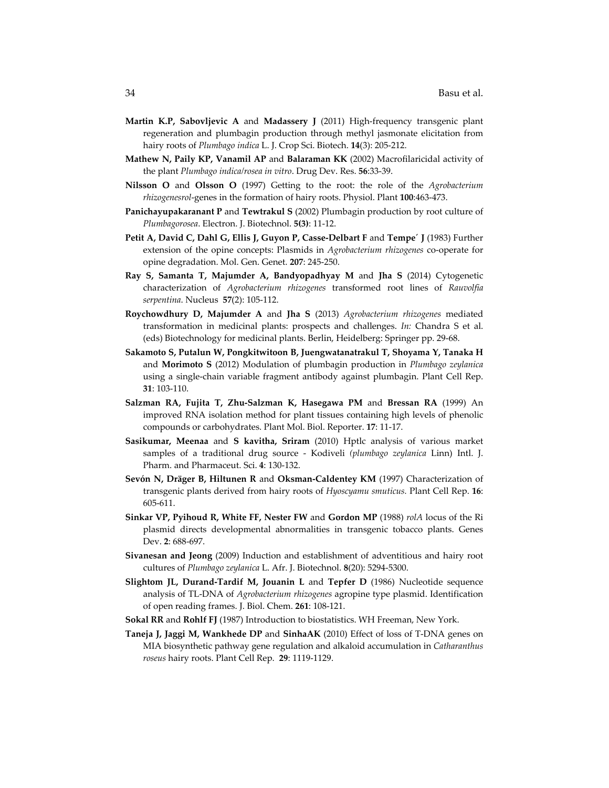- **Martin K.P, Sabovljevic A** and **Madassery J** (2011) High‐frequency transgenic plant regeneration and plumbagin production through methyl jasmonate elicitation from hairy roots of *Plumbago indica* L. J. Crop Sci. Biotech. **14**(3): 205‐212.
- **Mathew N, Paily KP, Vanamil AP** and **Balaraman KK** (2002) Macrofilaricidal activity of the plant *Plumbago indica/rosea in vitro*. Drug Dev. Res. **56**:33‐39.
- **Nilsson O** and **Olsson O** (1997) Getting to the root: the role of the *Agrobacterium rhizogenesrol*‐genes in the formation of hairy roots. Physiol. Plant **100**:463‐473.
- **Panichayupakaranant P** and **Tewtrakul S** (2002) Plumbagin production by root culture of *Plumbagorosea*. Electron. J. Biotechnol. **5(3)**: 11‐12.
- **Petit A, David C, Dahl G, Ellis J, Guyon P, Casse‐Delbart F** and **Tempe´ J** (1983) Further extension of the opine concepts: Plasmids in *Agrobacterium rhizogenes* co-operate for opine degradation. Mol. Gen. Genet. **207**: 245‐250.
- **Ray S, Samanta T, Majumder A, Bandyopadhyay M** and **Jha S** (2014) Cytogenetic characterization of *Agrobacterium rhizogenes* transformed root lines of *Rauvolfia serpentina*. Nucleus **57**(2): 105‐112.
- **Roychowdhury D, Majumder A** and **Jha S** (2013) *Agrobacterium rhizogenes* mediated transformation in medicinal plants: prospects and challenges. *In:* Chandra S et al. (eds) Biotechnology for medicinal plants. Berlin, Heidelberg: Springer pp. 29‐68.
- **Sakamoto S, Putalun W, Pongkitwitoon B, Juengwatanatrakul T, Shoyama Y, Tanaka H** and **Morimoto S** (2012) Modulation of plumbagin production in *Plumbago zeylanica* using a single‐chain variable fragment antibody against plumbagin. Plant Cell Rep. **31**: 103‐110.
- **Salzman RA, Fujita T, Zhu‐Salzman K, Hasegawa PM** and **Bressan RA** (1999) An improved RNA isolation method for plant tissues containing high levels of phenolic compounds or carbohydrates. Plant Mol. Biol. Reporter. **17**: 11‐17.
- **Sasikumar, Meenaa** and **S kavitha, Sriram** (2010) Hptlc analysis of various market samples of a traditional drug source ‐ Kodiveli *(plumbago zeylanica* Linn) Intl. J. Pharm. and Pharmaceut. Sci. **4**: 130‐132.
- **Sevón N, Dräger B, Hiltunen R** and **Oksman‐Caldentey KM** (1997) Characterization of transgenic plants derived from hairy roots of *Hyoscyamu smuticus.* Plant Cell Rep. **16**: 605‐611.
- **Sinkar VP, Pyihoud R, White FF, Nester FW** and **Gordon MP** (1988) *rolA* locus of the Ri plasmid directs developmental abnormalities in transgenic tobacco plants. Genes Dev. **2**: 688‐697.
- **Sivanesan and Jeong** (2009) Induction and establishment of adventitious and hairy root cultures of *Plumbago zeylanica* L. Afr. J. Biotechnol. **8**(20): 5294‐5300.
- **Slightom JL, Durand‐Tardif M, Jouanin L** and **Tepfer D** (1986) Nucleotide sequence analysis of TL‐DNA of *Agrobacterium rhizogenes* agropine type plasmid. Identification of open reading frames. J. Biol. Chem. **261**: 108‐121.
- **Sokal RR** and **Rohlf FJ** (1987) Introduction to biostatistics. WH Freeman, New York.
- **Taneja J, Jaggi M, Wankhede DP** and **SinhaAK** (2010) Effect of loss of T‐DNA genes on MIA biosynthetic pathway gene regulation and alkaloid accumulation in *Catharanthus roseus* hairy roots. Plant Cell Rep. **29**: 1119‐1129.